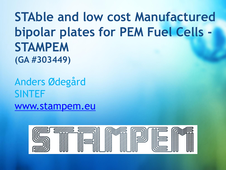# **STAble and low cost Manufactured bipolar plates for PEM Fuel Cells - STAMPEM (GA #303449)**

Anders Ødegård SINTEF [www.stampem.eu](http://www.projectwebsite.eu/)

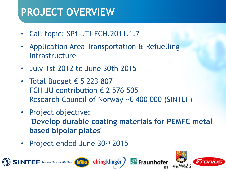# **PROJECT OVERVIEW**

- Call topic: SP1-JTI-FCH.2011.1.7
- Application Area Transportation & Refuelling Infrastructure
- July 1st 2012 to June 30th 2015
- Total Budget  $\epsilon$  5 223 807 FCH JU contribution  $\epsilon$  2 576 505 Research Council of Norway ~€ 400 000 (SINTEF)

elringklinger

- Project objective: "**Develop durable coating materials for PEMFC metal based bipolar plates**"
- Project ended June 30th 2015

 $E$   $\Gamma$  Innovation in Motion  $\left(M\right)$ r.

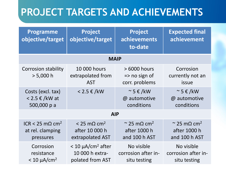# **PROJECT TARGETS AND ACHIEVEMENTS**

| Programme<br>objective/target                                        | Project<br>objective/target                                                 | <b>Project</b><br>achievements<br>to-date                                | <b>Expected final</b><br>achievement                                     |
|----------------------------------------------------------------------|-----------------------------------------------------------------------------|--------------------------------------------------------------------------|--------------------------------------------------------------------------|
| <b>MAIP</b>                                                          |                                                                             |                                                                          |                                                                          |
| <b>Corrosion stability</b><br>> 5,000 h                              | 10 000 hours<br>extrapolated from<br><b>AST</b>                             | > 6000 hours<br>$\Rightarrow$ no sign of<br>corr. problems               | Corrosion<br>currently not an<br>issue                                   |
| Costs (excl. tax)<br>$<$ 2.5 € /kW at<br>500,000 p a                 | $<$ 2.5 € /kW                                                               | $\sim$ 5 $\epsilon$ /kW<br>@ automotive<br>conditions                    | $\sim$ 5 $\epsilon$ /kW<br>@ automotive<br>conditions                    |
| <b>AIP</b>                                                           |                                                                             |                                                                          |                                                                          |
| ICR < 25 m $\Omega$ cm <sup>2</sup><br>at rel. clamping<br>pressures | $<$ 25 mΩ cm <sup>2</sup><br>after 10 000 h<br>extrapolated AST             | $\approx$ 25 m $\Omega$ cm <sup>2</sup><br>after 1000 h<br>and 100 h AST | $\approx$ 25 m $\Omega$ cm <sup>2</sup><br>after 1000 h<br>and 100 h AST |
| Corrosion<br>resistance<br>$< 10 \mu A/cm^2$                         | $<$ 10 $\mu$ A/cm <sup>2</sup> after<br>10 000 h extra-<br>polated from AST | No visible<br>corrosion after in-<br>situ testing                        | No visible<br>corrosion after in-<br>situ testing                        |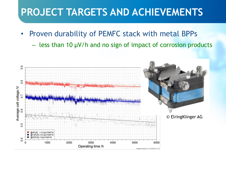# **PROJECT TARGETS AND ACHIEVEMENTS**

- Proven durability of PEMFC stack with metal BPPs
	- less than 10 µV/h and no sign of impact of corrosion products

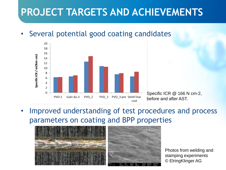# **PROJECT TARGETS AND ACHIEVEMENTS**

#### • Several potential good coating candidates



Specific ICR @ 166 N cm-2, before and after AST.

Improved understanding of test procedures and process parameters on coating and BPP properties



Photos from welding and stamping experiments © ElringKlinger AG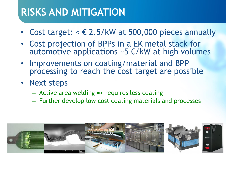### **RISKS AND MITIGATION**

- Cost target:  $\epsilon \in 2.5/kW$  at 500,000 pieces annually
- Cost projection of BPPs in a EK metal stack for automotive applications  $\sim$  5  $\epsilon$ /kW at high volumes
- Improvements on coating/material and BPP processing to reach the cost target are possible
- Next steps
	- Active area welding => requires less coating
	- Further develop low cost coating materials and processes

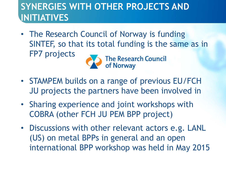### **SYNERGIES WITH OTHER PROJECTS AND INITIATIVES**

• The Research Council of Norway is funding SINTEF, so that its total funding is the same as in FP7 projects



The Research Council<br>of Norway

- STAMPEM builds on a range of previous EU/FCH JU projects the partners have been involved in
- Sharing experience and joint workshops with COBRA (other FCH JU PEM BPP project)
- Discussions with other relevant actors e.g. LANL (US) on metal BPPs in general and an open international BPP workshop was held in May 2015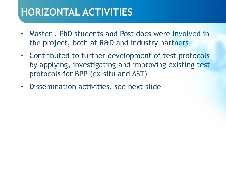# **HORIZONTAL ACTIVITIES**

- Master-, PhD students and Post docs were involved in the project, both at R&D and industry partners
- Contributed to further development of test protocols by applying, investigating and improving existing test protocols for BPP (ex-situ and AST)
- Dissemination activities, see next slide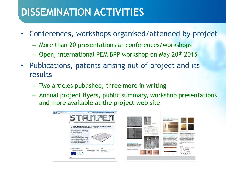# **DISSEMINATION ACTIVITIES**

- Conferences, workshops organised/attended by project
	- More than 20 presentations at conferences/workshops
	- Open, international PEM BPP workshop on May 20th 2015
- Publications, patents arising out of project and its results
	- Two articles published, three more in writing
	- Annual project flyers, public summary, workshop presentations and more available at the project web site